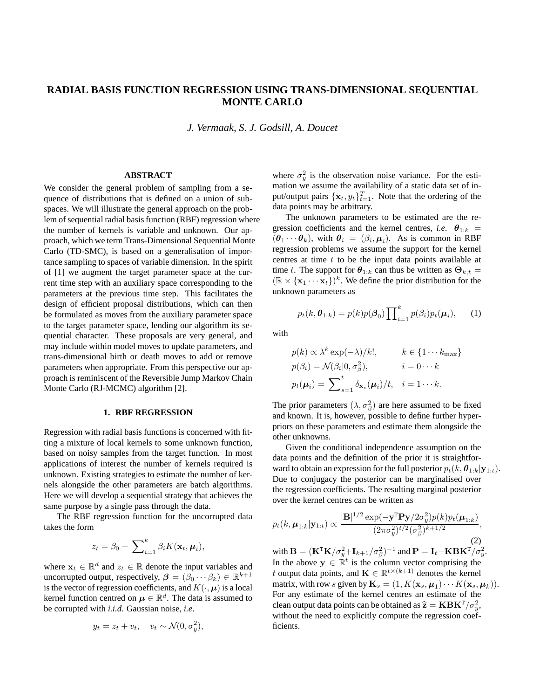# **RADIAL BASIS FUNCTION REGRESSION USING TRANS-DIMENSIONAL SEQUENTIAL MONTE CARLO**

*J. Vermaak, S. J. Godsill, A. Doucet*

## **ABSTRACT**

We consider the general problem of sampling from a sequence of distributions that is defined on a union of subspaces. We will illustrate the general approach on the problem of sequential radial basis function (RBF) regression where the number of kernels is variable and unknown. Our approach, which we term Trans-Dimensional Sequential Monte Carlo (TD-SMC), is based on a generalisation of importance sampling to spaces of variable dimension. In the spirit of [1] we augment the target parameter space at the current time step with an auxiliary space corresponding to the parameters at the previous time step. This facilitates the design of efficient proposal distributions, which can then be formulated as moves from the auxiliary parameter space to the target parameter space, lending our algorithm its sequential character. These proposals are very general, and may include within model moves to update parameters, and trans-dimensional birth or death moves to add or remove parameters when appropriate. From this perspective our approach is reminiscent of the Reversible Jump Markov Chain Monte Carlo (RJ-MCMC) algorithm [2].

## **1. RBF REGRESSION**

Regression with radial basis functions is concerned with fitting a mixture of local kernels to some unknown function, based on noisy samples from the target function. In most applications of interest the number of kernels required is unknown. Existing strategies to estimate the number of kernels alongside the other parameters are batch algorithms. Here we will develop a sequential strategy that achieves the same purpose by a single pass through the data.

The RBF regression function for the uncorrupted data takes the form

$$
z_t = \beta_0 + \sum_{i=1}^k \beta_i K(\mathbf{x}_t, \boldsymbol{\mu}_i),
$$

where  $\mathbf{x}_t \in \mathbb{R}^d$  and  $z_t \in \mathbb{R}$  denote the input variables and uncorrupted output, respectively,  $\boldsymbol{\beta} = (\beta_0 \cdots \beta_k) \in \mathbb{R}^{k+1}$ is the vector of regression coefficients, and  $K(\cdot, \mu)$  is a local kernel function centred on  $\mu \in \mathbb{R}^d$ . The data is assumed to be corrupted with *i.i.d*. Gaussian noise, *i.e*.

$$
y_t = z_t + v_t, \quad v_t \sim \mathcal{N}(0, \sigma_y^2),
$$

where  $\sigma_y^2$  is the observation noise variance. For the estimation we assume the availability of a static data set of input/output pairs  $\{x_t, y_t\}_{t=1}^T$ . Note that the ordering of the data points may be arbitrary.

The unknown parameters to be estimated are the regression coefficients and the kernel centres, *i.e.*  $\theta_{1:k}$  =  $(\theta_1 \cdots \theta_k)$ , with  $\theta_i = (\beta_i, \mu_i)$ . As is common in RBF regression problems we assume the support for the kernel centres at time  $t$  to be the input data points available at time t. The support for  $\theta_{1:k}$  can thus be written as  $\Theta_{k,t} =$  $(\mathbb{R} \times {\mathbf{x}_1 \cdots \mathbf{x}_t})^k$ . We define the prior distribution for the unknown parameters as

$$
p_t(k, \boldsymbol{\theta}_{1:k}) = p(k)p(\boldsymbol{\beta}_0) \prod_{i=1}^k p(\beta_i) p_t(\boldsymbol{\mu}_i), \qquad (1)
$$

with

$$
p(k) \propto \lambda^k \exp(-\lambda)/k!, \qquad k \in \{1 \cdots k_{\max}\}
$$
  

$$
p(\beta_i) = \mathcal{N}(\beta_i|0, \sigma_\beta^2), \qquad i = 0 \cdots k
$$
  

$$
p_t(\mu_i) = \sum_{s=1}^t \delta_{\mathbf{x}_s}(\mu_i)/t, \quad i = 1 \cdots k.
$$

The prior parameters  $(\lambda, \sigma_{\beta}^2)$  are here assumed to be fixed and known. It is, however, possible to define further hyperpriors on these parameters and estimate them alongside the other unknowns.

Given the conditional independence assumption on the data points and the definition of the prior it is straightforward to obtain an expression for the full posterior  $p_t(k, \theta_{1:k}|\mathbf{y}_{1:t})$ . Due to conjugacy the posterior can be marginalised over the regression coefficients. The resulting marginal posterior over the kernel centres can be written as

$$
p_t(k, \boldsymbol{\mu}_{1:k}|\mathbf{y}_{1:t}) \propto \frac{|\mathbf{B}|^{1/2} \exp(-\mathbf{y}^{\mathrm{T}}\mathbf{P}\mathbf{y}/2\sigma_y^2)p(k)p_t(\boldsymbol{\mu}_{1:k})}{(2\pi\sigma_y^2)^{t/2}(\sigma_\beta^2)^{k+1/2}},
$$
\nwith  $\mathbf{B} = (\mathbf{K}^{\mathrm{T}}\mathbf{K}/\sigma_y^2 + \mathbf{I}_{k+1}/\sigma_\beta^2)^{-1}$  and  $\mathbf{P} = \mathbf{I}_t - \mathbf{K}\mathbf{B}\mathbf{K}^{\mathrm{T}}/\sigma_y^2$ .

In the above  $y \in \mathbb{R}^t$  is the column vector comprising the t output data points, and  $\mathbf{K} \in \mathbb{R}^{t \times (k+1)}$  denotes the kernel matrix, with row  $s$  given by  $\mathbf{K}_s = (1, K(\mathbf{x}_s, \boldsymbol{\mu}_1) \cdots K(\mathbf{x}_s, \boldsymbol{\mu}_k)).$ For any estimate of the kernel centres an estimate of the clean output data points can be obtained as  $\widehat{\mathbf{z}} = \mathbf{KBK}^{\mathtt{T}}/\sigma_y^2$ , without the need to explicitly compute the regression coefficients.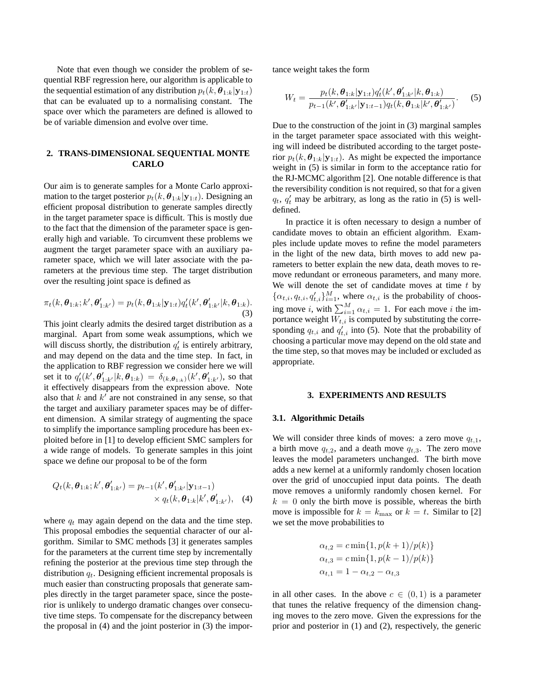Note that even though we consider the problem of sequential RBF regression here, our algorithm is applicable to the sequential estimation of any distribution  $p_t(k, \theta_{1:k}|y_{1:t})$ that can be evaluated up to a normalising constant. The space over which the parameters are defined is allowed to be of variable dimension and evolve over time.

## **2. TRANS-DIMENSIONAL SEQUENTIAL MONTE CARLO**

Our aim is to generate samples for a Monte Carlo approximation to the target posterior  $p_t(k, \theta_{1:k}|\mathbf{y}_{1:t})$ . Designing an efficient proposal distribution to generate samples directly in the target parameter space is difficult. This is mostly due to the fact that the dimension of the parameter space is generally high and variable. To circumvent these problems we augment the target parameter space with an auxiliary parameter space, which we will later associate with the parameters at the previous time step. The target distribution over the resulting joint space is defined as

$$
\pi_t(k, \theta_{1:k}; k', \theta'_{1:k'}) = p_t(k, \theta_{1:k}|\mathbf{y}_{1:t})q'_t(k', \theta'_{1:k'}|k, \theta_{1:k}).
$$
\n(3)

This joint clearly admits the desired target distribution as a marginal. Apart from some weak assumptions, which we will discuss shortly, the distribution  $q'_t$  is entirely arbitrary, and may depend on the data and the time step. In fact, in the application to RBF regression we consider here we will set it to  $q'_t(k', \theta'_{1:k'}|k, \theta_{1:k}) = \delta_{(k, \theta_{1:k})}(k', \theta'_{1:k'})$ , so that it effectively disappears from the expression above. Note also that  $k$  and  $k'$  are not constrained in any sense, so that the target and auxiliary parameter spaces may be of different dimension. A similar strategy of augmenting the space to simplify the importance sampling procedure has been exploited before in [1] to develop efficient SMC samplers for a wide range of models. To generate samples in this joint space we define our proposal to be of the form

$$
Q_t(k, \boldsymbol{\theta}_{1:k}; k', \boldsymbol{\theta}'_{1:k'}) = p_{t-1}(k', \boldsymbol{\theta}'_{1:k'} | \mathbf{y}_{1:t-1})
$$
  
 
$$
\times q_t(k, \boldsymbol{\theta}_{1:k}|k', \boldsymbol{\theta}'_{1:k'}),
$$
 (4)

where  $q_t$  may again depend on the data and the time step. This proposal embodies the sequential character of our algorithm. Similar to SMC methods [3] it generates samples for the parameters at the current time step by incrementally refining the posterior at the previous time step through the distribution  $q_t$ . Designing efficient incremental proposals is much easier than constructing proposals that generate samples directly in the target parameter space, since the posterior is unlikely to undergo dramatic changes over consecutive time steps. To compensate for the discrepancy between the proposal in (4) and the joint posterior in (3) the importance weight takes the form

$$
W_t = \frac{p_t(k, \theta_{1:k}|\mathbf{y}_{1:t})q_t'(k', \theta'_{1:k'}|k, \theta_{1:k})}{p_{t-1}(k', \theta'_{1:k'}|\mathbf{y}_{1:t-1})q_t(k, \theta_{1:k}|k', \theta'_{1:k'})}.
$$
 (5)

Due to the construction of the joint in (3) marginal samples in the target parameter space associated with this weighting will indeed be distributed according to the target posterior  $p_t(k, \theta_{1:k}|\mathbf{y}_{1:t})$ . As might be expected the importance weight in (5) is similar in form to the acceptance ratio for the RJ-MCMC algorithm [2]. One notable difference is that the reversibility condition is not required, so that for a given  $q_t$ ,  $q'_t$  may be arbitrary, as long as the ratio in (5) is welldefined.

In practice it is often necessary to design a number of candidate moves to obtain an efficient algorithm. Examples include update moves to refine the model parameters in the light of the new data, birth moves to add new parameters to better explain the new data, death moves to remove redundant or erroneous parameters, and many more. We will denote the set of candidate moves at time  $t$  by  $\{\alpha_{t,i}, q_{t,i}, q_{t,i}'\}_{i=1}^M$ , where  $\alpha_{t,i}$  is the probability of choosing move i, with  $\sum_{i=1}^{M} \alpha_{t,i} = 1$ . For each move i the importance weight  $W_{t,i}$  is computed by substituting the corresponding  $q_{t,i}$  and  $q'_{t,i}$  into (5). Note that the probability of choosing a particular move may depend on the old state and the time step, so that moves may be included or excluded as appropriate.

#### **3. EXPERIMENTS AND RESULTS**

#### **3.1. Algorithmic Details**

We will consider three kinds of moves: a zero move  $q_{t,1}$ , a birth move  $q_{t,2}$ , and a death move  $q_{t,3}$ . The zero move leaves the model parameters unchanged. The birth move adds a new kernel at a uniformly randomly chosen location over the grid of unoccupied input data points. The death move removes a uniformly randomly chosen kernel. For  $k = 0$  only the birth move is possible, whereas the birth move is impossible for  $k = k_{\text{max}}$  or  $k = t$ . Similar to [2] we set the move probabilities to

$$
\alpha_{t,2} = c \min\{1, p(k+1)/p(k)\}
$$
  
\n
$$
\alpha_{t,3} = c \min\{1, p(k-1)/p(k)\}
$$
  
\n
$$
\alpha_{t,1} = 1 - \alpha_{t,2} - \alpha_{t,3}
$$

in all other cases. In the above  $c \in (0,1)$  is a parameter that tunes the relative frequency of the dimension changing moves to the zero move. Given the expressions for the prior and posterior in (1) and (2), respectively, the generic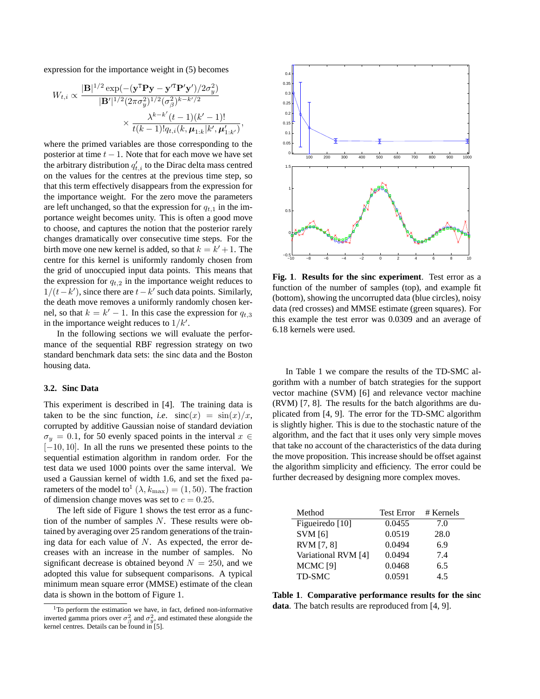expression for the importance weight in (5) becomes

$$
W_{t,i} \propto \frac{|\mathbf{B}|^{1/2} \exp(-(y^{\mathrm{T}} \mathbf{P} y - y^{\prime \mathrm{T}} \mathbf{P}' y')/2\sigma_y^2)}{|\mathbf{B}'|^{1/2} (2\pi \sigma_y^2)^{1/2} (\sigma_\beta^2)^{k-k'/2}} \times \frac{\lambda^{k-k'}(t-1)(k'-1)!}{t(k-1)! q_{t,i}(k, \mu_{1:k}|k', \mu_{1:k'})},
$$

where the primed variables are those corresponding to the posterior at time  $t - 1$ . Note that for each move we have set the arbitrary distribution  $q'_{t,i}$  to the Dirac delta mass centred on the values for the centres at the previous time step, so that this term effectively disappears from the expression for the importance weight. For the zero move the parameters are left unchanged, so that the expression for  $q_{t,1}$  in the importance weight becomes unity. This is often a good move to choose, and captures the notion that the posterior rarely changes dramatically over consecutive time steps. For the birth move one new kernel is added, so that  $k = k' + 1$ . The centre for this kernel is uniformly randomly chosen from the grid of unoccupied input data points. This means that the expression for  $q_{t,2}$  in the importance weight reduces to  $1/(t - k')$ , since there are  $t - k'$  such data points. Similarly, the death move removes a uniformly randomly chosen kernel, so that  $k = k' - 1$ . In this case the expression for  $q_{t,3}$ in the importance weight reduces to  $1/k'$ .

In the following sections we will evaluate the performance of the sequential RBF regression strategy on two standard benchmark data sets: the sinc data and the Boston housing data.

#### **3.2. Sinc Data**

This experiment is described in [4]. The training data is taken to be the sinc function, *i.e.*  $\operatorname{sinc}(x) = \sin(x)/x$ , corrupted by additive Gaussian noise of standard deviation  $\sigma_y = 0.1$ , for 50 evenly spaced points in the interval  $x \in$ [−10, 10]. In all the runs we presented these points to the sequential estimation algorithm in random order. For the test data we used 1000 points over the same interval. We used a Gaussian kernel of width 1.6, and set the fixed parameters of the model to<sup>1</sup> ( $\lambda$ ,  $k_{\text{max}}$ ) = (1, 50). The fraction of dimension change moves was set to  $c = 0.25$ .

The left side of Figure 1 shows the test error as a function of the number of samples  $N$ . These results were obtained by averaging over 25 random generations of the training data for each value of  $N$ . As expected, the error decreases with an increase in the number of samples. No significant decrease is obtained beyond  $N = 250$ , and we adopted this value for subsequent comparisons. A typical minimum mean square error (MMSE) estimate of the clean data is shown in the bottom of Figure 1.



**Fig. 1**. **Results for the sinc experiment**. Test error as a function of the number of samples (top), and example fit (bottom), showing the uncorrupted data (blue circles), noisy data (red crosses) and MMSE estimate (green squares). For this example the test error was 0.0309 and an average of 6.18 kernels were used.

In Table 1 we compare the results of the TD-SMC algorithm with a number of batch strategies for the support vector machine (SVM) [6] and relevance vector machine (RVM) [7, 8]. The results for the batch algorithms are duplicated from [4, 9]. The error for the TD-SMC algorithm is slightly higher. This is due to the stochastic nature of the algorithm, and the fact that it uses only very simple moves that take no account of the characteristics of the data during the move proposition. This increase should be offset against the algorithm simplicity and efficiency. The error could be further decreased by designing more complex moves.

| Method              | <b>Test Error</b> | # Kernels |
|---------------------|-------------------|-----------|
| Figueiredo [10]     | 0.0455            | 7.0       |
| <b>SVM</b> [6]      | 0.0519            | 28.0      |
| RVM [7, 8]          | 0.0494            | 6.9       |
| Variational RVM [4] | 0.0494            | 7.4       |
| MCMC <sup>[9]</sup> | 0.0468            | 6.5       |
| TD-SMC              | 0.0591            | 45        |

**Table 1**. **Comparative performance results for the sinc data**. The batch results are reproduced from [4, 9].

 $1$ To perform the estimation we have, in fact, defined non-informative inverted gamma priors over  $\sigma_{\beta}^2$  and  $\sigma_y^2$ , and estimated these alongside the kernel centres. Details can be found in [5].